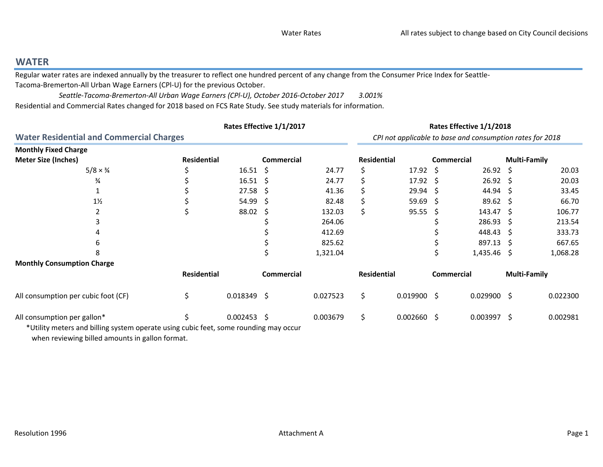# WATER

 Regular water rates are indexed annually by the treasurer to reflect one hundred percent of any change from the Consumer Price Index for Seattle-Tacoma-Bremerton-All Urban Wage Earners (CPl-U) for the previous October.

3.001% Residential and Commercial Rates changed for 2018 based on FCS Rate Study. See study materials for information. Seattle-Tacoma-Bremerton-All Urban Wage Earners (CPl-U), October 2016-October 2017

|                                                                                                                         |             |                     | Rates Effective 1/1/2017 |          |                    |                  | Rates Effective 1/1/2018 |                 |                                                           |          |
|-------------------------------------------------------------------------------------------------------------------------|-------------|---------------------|--------------------------|----------|--------------------|------------------|--------------------------|-----------------|-----------------------------------------------------------|----------|
| <b>Water Residential and Commercial Charges</b>                                                                         |             |                     |                          |          |                    |                  |                          |                 | CPI not applicable to base and consumption rates for 2018 |          |
| <b>Monthly Fixed Charge</b>                                                                                             |             |                     |                          |          |                    |                  |                          |                 |                                                           |          |
| <b>Meter Size (Inches)</b>                                                                                              | Residential |                     | <b>Commercial</b>        |          | <b>Residential</b> |                  | Commercial               |                 | <b>Multi-Family</b>                                       |          |
| $5/8 \times \frac{3}{4}$                                                                                                |             | $16.51 \; \text{S}$ |                          | 24.77    |                    | $17.92 \div$     |                          | 26.92           | -S                                                        | 20.03    |
| $\frac{3}{4}$                                                                                                           |             | 16.51               | -S                       | 24.77    |                    | $17.92 \div$     |                          | $26.92 \quad $$ |                                                           | 20.03    |
|                                                                                                                         |             | 27.58               |                          | 41.36    |                    | 29.94            | S                        | 44.94           | -S                                                        | 33.45    |
| $1\frac{1}{2}$                                                                                                          |             | 54.99               | S                        | 82.48    |                    | 59.69            | -S                       | 89.62           | -S                                                        | 66.70    |
|                                                                                                                         |             | 88.02               |                          | 132.03   | S.                 | 95.55            | -Ŝ                       | 143.47          | -S                                                        | 106.77   |
|                                                                                                                         |             |                     |                          | 264.06   |                    |                  |                          | 286.93          | S                                                         | 213.54   |
|                                                                                                                         |             |                     |                          | 412.69   |                    |                  |                          | 448.43          | S                                                         | 333.73   |
| h                                                                                                                       |             |                     |                          | 825.62   |                    |                  |                          | 897.13          | S                                                         | 667.65   |
| 8                                                                                                                       |             |                     |                          | 1,321.04 |                    |                  | S                        | 1,435.46        | -S                                                        | 1,068.28 |
| <b>Monthly Consumption Charge</b>                                                                                       |             |                     |                          |          |                    |                  |                          |                 |                                                           |          |
|                                                                                                                         | Residential |                     | Commercial               |          | <b>Residential</b> |                  | Commercial               |                 | <b>Multi-Family</b>                                       |          |
| All consumption per cubic foot (CF)                                                                                     | \$          | $0.018349$ \$       |                          | 0.027523 | \$.                | $0.019900 \;$ \$ |                          | 0.029900        | \$                                                        | 0.022300 |
| All consumption per gallon*<br>$*$ Hility motors and billing system operate using subjected to some rounding may occur. |             | $0.002453$ \$       |                          | 0.003679 | \$                 | $0.002660$ \$    |                          | 0.003997        | .S                                                        | 0.002981 |

t Utility meters and billing system operate using cubic feet, some rounding may occur

when reviewing billed amounts in gallon format.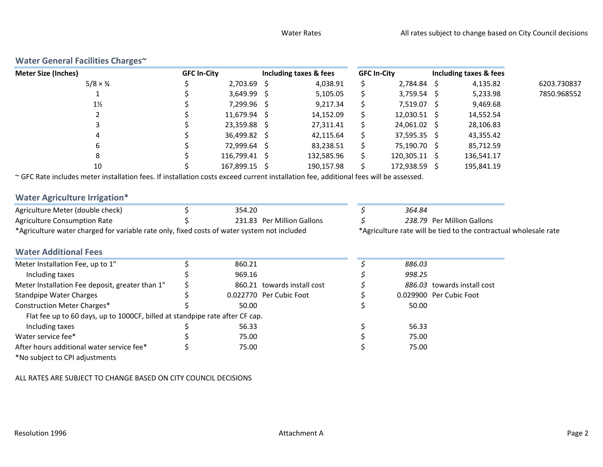| <b>Meter Size (Inches)</b>                                                                                                                                             | <b>GFC In-City</b> |                         |    | Including taxes & fees      | <b>GFC In-City</b> |                         | Including taxes & fees                                                                         |             |
|------------------------------------------------------------------------------------------------------------------------------------------------------------------------|--------------------|-------------------------|----|-----------------------------|--------------------|-------------------------|------------------------------------------------------------------------------------------------|-------------|
| $5/8 \times \frac{3}{4}$                                                                                                                                               |                    | 2,703.69                | -S | 4,038.91                    | \$                 | 2,784.84 \$             | 4,135.82                                                                                       | 6203.730837 |
|                                                                                                                                                                        |                    | 3,649.99 \$             |    | 5,105.05                    |                    | $3,759.54$ \$           | 5,233.98                                                                                       | 7850.968552 |
| $1\frac{1}{2}$                                                                                                                                                         |                    | 7,299.96 \$             |    | 9,217.34                    |                    | 7,519.07 \$             | 9,469.68                                                                                       |             |
| 2                                                                                                                                                                      |                    | 11,679.94               | -S | 14,152.09                   | \$                 | 12,030.51 \$            | 14,552.54                                                                                      |             |
| 3                                                                                                                                                                      |                    | 23,359.88               | -S | 27,311.41                   |                    | 24,061.02 \$            | 28,106.83                                                                                      |             |
|                                                                                                                                                                        |                    | 36,499.82               | -S | 42,115.64                   |                    | 37,595.35 \$            | 43,355.42                                                                                      |             |
| 6                                                                                                                                                                      |                    | 72,999.64               | -S | 83,238.51                   | Ś                  | 75,190.70 \$            | 85,712.59                                                                                      |             |
| 8                                                                                                                                                                      |                    | 116,799.41 \$           |    | 132,585.96                  |                    | 120,305.11 \$           | 136,541.17                                                                                     |             |
| 10                                                                                                                                                                     |                    | 167,899.15 \$           |    | 190,157.98                  |                    | 172,938.59 \$           | 195,841.19                                                                                     |             |
| Agriculture Meter (double check)<br><b>Agriculture Consumption Rate</b><br>*Agriculture water charged for variable rate only, fixed costs of water system not included |                    | 354.20                  |    | 231.83 Per Million Gallons  | \$                 | 364.84                  | 238.79 Per Million Gallons<br>*Agriculture rate will be tied to the contractual wholesale rate |             |
| <b>Water Additional Fees</b>                                                                                                                                           |                    |                         |    |                             |                    |                         |                                                                                                |             |
| Meter Installation Fee, up to 1"                                                                                                                                       |                    | 860.21                  |    |                             |                    | 886.03                  |                                                                                                |             |
| Including taxes                                                                                                                                                        |                    | 969.16                  |    |                             |                    | 998.25                  |                                                                                                |             |
| Meter Installation Fee deposit, greater than 1"                                                                                                                        |                    |                         |    | 860.21 towards install cost |                    |                         | 886.03 towards install cost                                                                    |             |
| <b>Standpipe Water Charges</b>                                                                                                                                         |                    | 0.022770 Per Cubic Foot |    |                             |                    | 0.029900 Per Cubic Foot |                                                                                                |             |
| Construction Meter Charges*                                                                                                                                            |                    | 50.00                   |    |                             |                    | 50.00                   |                                                                                                |             |
| Flat fee up to 60 days, up to 1000CF, billed at standpipe rate after CF cap.                                                                                           |                    |                         |    |                             |                    |                         |                                                                                                |             |
| Including taxes                                                                                                                                                        |                    | 56.33                   |    |                             | \$                 | 56.33                   |                                                                                                |             |
| Water service fee*                                                                                                                                                     |                    | 75.00                   |    |                             | \$                 | 75.00                   |                                                                                                |             |
| After hours additional water service fee*                                                                                                                              |                    | 75.00                   |    |                             |                    | 75.00                   |                                                                                                |             |
| *No subject to CPI adjustments                                                                                                                                         |                    |                         |    |                             |                    |                         |                                                                                                |             |

Water General Facilities Charges~

ALL RATES ARE SUBJECT TO CHANGE BASED ON CITY COUNCIL DECISIONS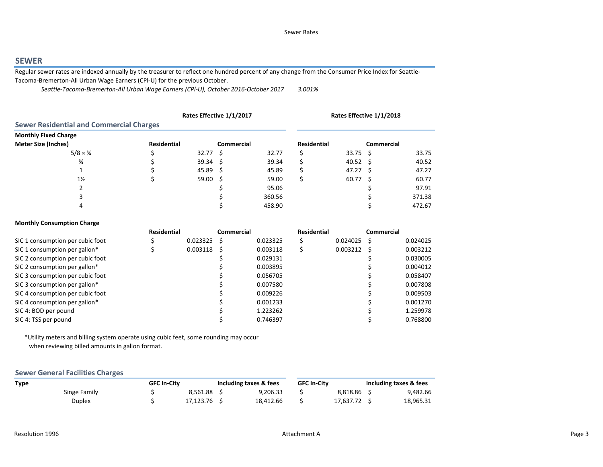#### Sewer Rates

## SEWER

 Regular sewer rates are indexed annually by the treasurer to reflect one hundred percent of any change from the Consumer Price Index for Seattle-Tacoma-Bremerton-All Urban Wage Earners (CPl-U) for the previous October.

3.001%Seattle-Tacoma-Bremerton-All Urban Wage Earners (CPl-U), October 2016-October 2017

|                                                 |                 | Rates Effective 1/1/2017 |        |                    |       | Rates Effective 1/1/2018 |        |
|-------------------------------------------------|-----------------|--------------------------|--------|--------------------|-------|--------------------------|--------|
| <b>Sewer Residential and Commercial Charges</b> |                 |                          |        |                    |       |                          |        |
| <b>Monthly Fixed Charge</b>                     |                 |                          |        |                    |       |                          |        |
| <b>Meter Size (Inches)</b>                      | Residential     | Commercial               |        | <b>Residential</b> |       | <b>Commercial</b>        |        |
| $5/8 \times \frac{3}{4}$                        | 32.77S          |                          | 32.77  |                    | 33.75 | -S                       | 33.75  |
| $\frac{3}{4}$                                   | $39.34 \quad $$ |                          | 39.34  |                    | 40.52 | - S                      | 40.52  |
|                                                 | 45.89 \$        |                          | 45.89  |                    | 47.27 | S                        | 47.27  |
| $1\frac{1}{2}$                                  | $59.00 \quad $$ |                          | 59.00  |                    | 60.77 | S                        | 60.77  |
|                                                 |                 |                          | 95.06  |                    |       |                          | 97.91  |
|                                                 |                 |                          | 360.56 |                    |       |                          | 371.38 |
| 4                                               |                 |                          | 458.90 |                    |       |                          | 472.67 |

#### Monthly Consumption Charge

|                                  | <b>Residential</b> |          | Commercial |          | <b>Residential</b> |          | <b>Commercial</b> |          |
|----------------------------------|--------------------|----------|------------|----------|--------------------|----------|-------------------|----------|
| SIC 1 consumption per cubic foot |                    | 0.023325 |            | 0.023325 |                    | 0.024025 |                   | 0.024025 |
| SIC 1 consumption per gallon*    |                    | 0.003118 |            | 0.003118 |                    | 0.003212 |                   | 0.003212 |
| SIC 2 consumption per cubic foot |                    |          |            | 0.029131 |                    |          |                   | 0.030005 |
| SIC 2 consumption per gallon*    |                    |          |            | 0.003895 |                    |          |                   | 0.004012 |
| SIC 3 consumption per cubic foot |                    |          |            | 0.056705 |                    |          |                   | 0.058407 |
| SIC 3 consumption per gallon*    |                    |          |            | 0.007580 |                    |          |                   | 0.007808 |
| SIC 4 consumption per cubic foot |                    |          |            | 0.009226 |                    |          |                   | 0.009503 |
| SIC 4 consumption per gallon*    |                    |          |            | 0.001233 |                    |          |                   | 0.001270 |
| SIC 4: BOD per pound             |                    |          |            | 1.223262 |                    |          |                   | 1.259978 |
| SIC 4: TSS per pound             |                    |          |            | 0.746397 |                    |          |                   | 0.768800 |

\*Utility meters and billing system operate using cubic feet, some rounding may occurwhen reviewing billed amounts in gallon format.

### Sewer General Facilities Charges

| <b>Type</b>  | <b>GFC In-City</b> |             | Including taxes & fees |           | <b>GFC In-City</b> |           | Including taxes & fees |           |
|--------------|--------------------|-------------|------------------------|-----------|--------------------|-----------|------------------------|-----------|
| Singe Family |                    | 8.561.88 \$ |                        | 9.206.33  |                    | 8.818.86  |                        | 9,482.66  |
| Duplex       |                    | 17.123.76   |                        | 18.412.66 |                    | 17.637.72 |                        | 18,965.31 |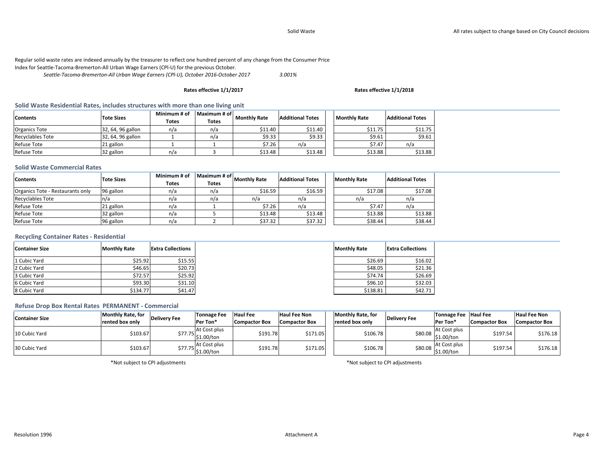#### Solid Waste

3.001%

Regular solid waste rates are indexed annually by the treasurer to reflect one hundred percent of any change from the Consumer Price Index for Seattle-Tacoma-Bremerton-All Urban Wage Earners (CPl-U) for the previous October.

Seattle-Tacoma-Bremerton-All Urban Wage Earners (CPl-U), October 2016-October 2017

#### Rates effective 1/1/2018

#### Solid Waste Residential Rates, includes structures with more than one living unit

| <b>Contents</b>         | <b>Tote Sizes</b> | Minimum # of<br>Totes | Maximum # of<br><b>Totes</b> | <b>Monthly Rate</b> | <b>Additional Totes</b> | <b>Monthly Rate</b> | <b>Additional Totes</b> |
|-------------------------|-------------------|-----------------------|------------------------------|---------------------|-------------------------|---------------------|-------------------------|
| <b>Organics Tote</b>    | 32, 64, 96 gallon | n/a                   | n/a                          | \$11.40             | \$11.40                 | \$11.75             | \$11.75                 |
| <b>Recyclables Tote</b> | 32, 64, 96 gallon |                       | n/a                          | \$9.33              | \$9.33                  | \$9.61              | \$9.61                  |
| Refuse Tote             | 21 gallon         |                       |                              | \$7.26              | n/a                     | \$7.47              | n/a                     |
| Refuse Tote             | 32 gallon         | n/a                   |                              | \$13.48             | \$13.48                 | \$13.88             | \$13.88                 |

Rates effective 1/1/2017

#### Solid Waste Commercial Rates

| <b>Contents</b>                  | <b>Tote Sizes</b> | Minimum # of<br><b>Totes</b> | Maximum # of<br><b>Totes</b> | <b>Monthly Rate</b> | <b>Additional Totes</b> | <b>Monthly Rate</b> | <b>Additional Totes</b> |
|----------------------------------|-------------------|------------------------------|------------------------------|---------------------|-------------------------|---------------------|-------------------------|
| Organics Tote - Restaurants only | 96 gallon         | n/a                          | n/a                          | \$16.59             | \$16.59                 | \$17.08             | \$17.08                 |
| <b>Recyclables Tote</b>          | $\ln/a$           | n/a                          | n/a                          | n/a                 | n/a                     | n/a                 | n/a                     |
| <b>Refuse Tote</b>               | 21 gallon         | n/a                          |                              | \$7.26              | n/a                     | \$7.47              | n/a                     |
| <b>Refuse Tote</b>               | 32 gallon         | n/a                          |                              | \$13.48             | \$13.48                 | \$13.88             | \$13.88                 |
| <b>Refuse Tote</b>               | 96 gallon         | n/a                          |                              | \$37.32             | \$37.32                 | \$38.44             | \$38.44                 |

#### Recycling Container Rates - Residential

| <b>Container Size</b> | <b>Monthly Rate</b> | <b>Extra Collections</b> |
|-----------------------|---------------------|--------------------------|
| 1 Cubic Yard          | \$25.92             | \$15.55                  |
| 2 Cubic Yard          | \$46.65             | \$20.73                  |
| 3 Cubic Yard          | \$72.57             | \$25.92                  |
| 6 Cubic Yard          | \$93.30             | \$31.10                  |
| 8 Cubic Yard          | \$134.77            | \$41.47                  |

| <b>Monthly Rate</b> | <b>Extra Collections</b> |
|---------------------|--------------------------|
| \$26.69             | \$16.02                  |
| \$48.05             | \$21.36                  |
| \$74.74             | \$26.69                  |
| \$96.10             | \$32.03                  |
| \$138.81            | \$42.71                  |

#### Refuse Drop Box Rental Rates PERMANENT - Commercial

| <b>Container Size</b> | <b>Monthly Rate, for</b> | <b>Delivery Fee</b> | Tonnage Fee                           | <b>Haul Fee</b> | <b>Haul Fee Non</b>  | <b>Monthly Rate, for</b> | <b>Delivery Fee</b> | Tonnage Fee Haul Fee       |                      | <b>Haul Fee Non</b> |
|-----------------------|--------------------------|---------------------|---------------------------------------|-----------------|----------------------|--------------------------|---------------------|----------------------------|----------------------|---------------------|
|                       | rented box only          |                     | Per Ton*                              | Compactor Box   | <b>Compactor Box</b> | rented box only          |                     | Per Ton*                   | <b>Compactor Box</b> | Compactor Box       |
| 10 Cubic Yard         | \$103.67                 |                     | At Cost plus<br>$$77.75$ \$1.00/ton   | \$191.78        | \$171.05             | \$106.78                 | \$80.08             | At Cost plus<br>\$1.00/ton | \$197.54             | \$176.18            |
| 30 Cubic Yard         | \$103.67                 |                     | At Cost plus<br>$$77.75$ $$1.00/t$ on | \$191.78        | \$171.05             | \$106.78                 | \$80.08             | At Cost plus<br>\$1.00/ton | \$197.54             | \$176.18            |

\*Not subject to CPI adjustments

\*Not subject to CPI adjustments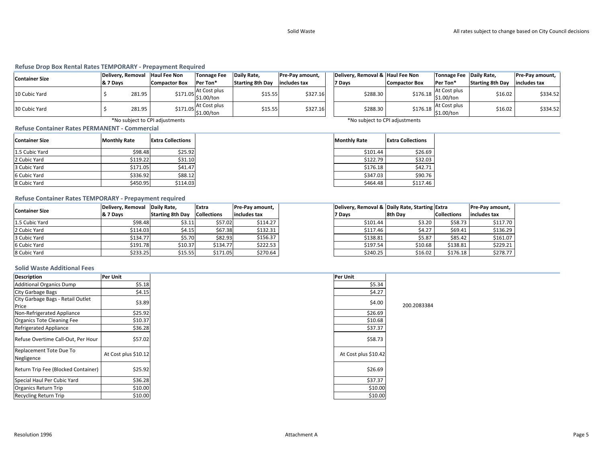#### Refuse Drop Box Rental Rates TEMPORARY - Prepayment Required

| <b>Container Size</b> |          |        | Delivery, Removal Haul Fee Non | Tonnage Fee                                 | Daily Rate.             | <b>Pre-Pay amount.</b> | Delivery, Removal & Haul Fee Non |                      | Tonnage Fee Daily Rate,    |                         | <b>Pre-Pay amount,</b> |
|-----------------------|----------|--------|--------------------------------|---------------------------------------------|-------------------------|------------------------|----------------------------------|----------------------|----------------------------|-------------------------|------------------------|
|                       | & 7 Days |        | <b>Compactor Box</b>           | Per Ton*                                    | <b>Starting 8th Day</b> | includes tax           | 7 Days                           | <b>Compactor Box</b> | Per Ton <sup>*</sup>       | <b>Starting 8th Day</b> | includes tax           |
| 10 Cubic Yard         |          | 281.95 |                                | At Cost plus<br>$$171.05$ \$1.00/ton        | \$15.55                 | \$327.16               | \$288.30                         | \$176.18             | At Cost plus<br>\$1.00/ton | \$16.02                 | \$334.52               |
| 30 Cubic Yard         |          | 281.95 |                                | At Cost plus<br>$$171.05$ $\int$ \$1.00/ton | \$15.55                 | \$327.16               | \$288.30                         | \$176.18             | At Cost plus<br>\$1.00/ton | \$16.02                 | \$334.52               |
|                       |          |        | *No subject to CPI adjustments |                                             |                         |                        | *No subject to CPI adjustments   |                      |                            |                         |                        |

\*No subject to CPI adjustments

Refuse Container Rates PERMANENT - Commercial

| <b>Container Size</b> | <b>Monthly Rate</b> | <b>Extra Collections</b> |
|-----------------------|---------------------|--------------------------|
| 1.5 Cubic Yard        | \$98.48             | \$25.92                  |
| 2 Cubic Yard          | \$119.22            | \$31.10                  |
| 3 Cubic Yard          | \$171.05            | \$41.47                  |
| 6 Cubic Yard          | \$336.92            | \$88.12                  |
| 8 Cubic Yard          | \$450.95            | \$114.03                 |

Refuse Container Rates TEMPORARY - Prepayment required

| <b>Container Size</b> | Delivery, Removal Daily Rate,<br>Extra |                         |                    | Pre-Pay amount, | Delivery, Removal & Daily Rate, Starting Extra |         |                    | Pre-Pay amount, |
|-----------------------|----------------------------------------|-------------------------|--------------------|-----------------|------------------------------------------------|---------|--------------------|-----------------|
|                       | & 7 Days                               | <b>Starting 8th Day</b> | <b>Collections</b> | includes tax    | 7 Davs                                         | 8th Dav | <b>Collections</b> | includes tax    |
| 1.5 Cubic Yard        | \$98.48                                | \$3.11                  | \$57.02            | \$114.27        | \$101.44                                       | \$3.20  | \$58.73            |                 |
| 2 Cubic Yard          | \$114.03                               | \$4.15                  | \$67.38            | \$132.31        | \$117.46                                       | \$4.27  | \$69.41            |                 |
| 3 Cubic Yard          | \$134.77                               | \$5.70                  | \$82.93            | \$156.37        | \$138.81                                       | \$5.87  | \$85.42            |                 |
| 6 Cubic Yard          | \$191.78                               | \$10.37                 | \$134.77           | \$222.53        | \$197.54                                       | \$10.68 | \$138.81           |                 |
| 8 Cubic Yard          | \$233.25                               | \$15.55                 | \$171.05           | \$270.64        | \$240.25                                       | \$16.02 | \$176.18           |                 |

| <b>PIZZ.79</b> | cu.scç   |
|----------------|----------|
| \$176.18       | \$42.71  |
| \$347.03       | \$90.76  |
| \$464.48       | \$117.46 |
|                |          |
|                |          |

| Delivery, Removal & Daily Rate, Starting Extra |         |                    | Pre-Pay amount, |
|------------------------------------------------|---------|--------------------|-----------------|
| 7 Days                                         | 8th Day | <b>Collections</b> | includes tax    |
| \$101.44                                       | \$3.20  | \$58.73            | \$117.70        |
| \$117.46                                       | \$4.27  | \$69.41            | \$136.29        |
| \$138.81                                       | \$5.87  | \$85.42            | \$161.07        |
| \$197.54                                       | \$10.68 | \$138.81           | \$229.21        |
| \$240.25                                       | \$16.02 | \$176.18           | \$278.77        |

#### Solid Waste Additional Fees

| <b>Description</b>                         | Per Unit             | <b>Per Unit</b>      |
|--------------------------------------------|----------------------|----------------------|
| <b>Additional Organics Dump</b>            | \$5.18               | \$5.34               |
| <b>City Garbage Bags</b>                   | \$4.15               | \$4.27               |
| City Garbage Bags - Retail Outlet<br>Price | \$3.89               | \$4.00               |
| Non-Refrigerated Appliance                 | \$25.92              | \$26.69              |
| <b>Organics Tote Cleaning Fee</b>          | \$10.37              | \$10.68              |
| <b>Refrigerated Appliance</b>              | \$36.28              | \$37.37              |
| Refuse Overtime Call-Out, Per Hour         | \$57.02              | \$58.73              |
| Replacement Tote Due To<br>Negligence      | At Cost plus \$10.12 | At Cost plus \$10.42 |
| Return Trip Fee (Blocked Container)        | \$25.92              | \$26.69              |
| Special Haul Per Cubic Yard                | \$36.28              | \$37.37              |
| <b>Organics Return Trip</b>                | \$10.00              | \$10.00              |
| <b>Recycling Return Trip</b>               | \$10.00              | \$10.00              |

| 'er Unit             |  |
|----------------------|--|
| \$5.34               |  |
| \$4.27               |  |
| \$4.00               |  |
| \$26.69              |  |
| \$10.68              |  |
| \$37.37              |  |
| \$58.73              |  |
| At Cost plus \$10.42 |  |
| \$26.69              |  |
| \$37.37              |  |
| \$10.00              |  |
| \$10.00              |  |
|                      |  |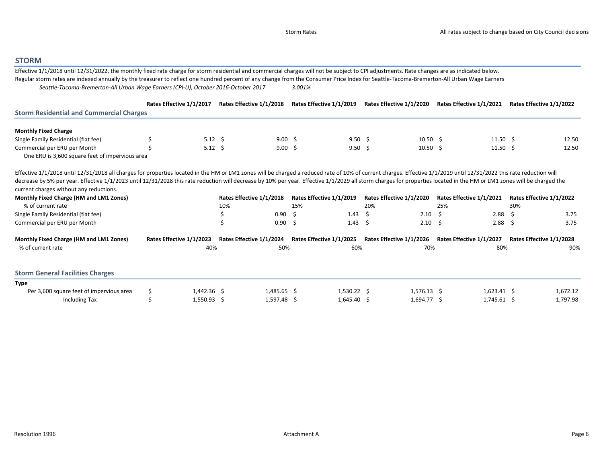### **STORM**

| Effective 1/1/2018 until 12/31/2022, the monthly fixed rate charge for storm residential and commercial charges will not be subject to CPI adjustments. Rate changes are as indicated below.<br>Regular storm rates are indexed annually by the treasurer to reflect one hundred percent of any change from the Consumer Price Index for Seattle-Tacoma-Bremerton-All Urban Wage Earners<br>Seattle-Tacoma-Bremerton-All Urban Wage Earners (CPI-U), October 2016-October 2017 |                          |                |     |                                          | 3.001%           |                                                                |     |                                                                                                     |                 |                                                                  |     |                                          |
|--------------------------------------------------------------------------------------------------------------------------------------------------------------------------------------------------------------------------------------------------------------------------------------------------------------------------------------------------------------------------------------------------------------------------------------------------------------------------------|--------------------------|----------------|-----|------------------------------------------|------------------|----------------------------------------------------------------|-----|-----------------------------------------------------------------------------------------------------|-----------------|------------------------------------------------------------------|-----|------------------------------------------|
| <b>Storm Residential and Commercial Charges</b>                                                                                                                                                                                                                                                                                                                                                                                                                                | Rates Effective 1/1/2017 |                |     | Rates Effective 1/1/2018                 |                  | Rates Effective 1/1/2019                                       |     | Rates Effective 1/1/2020                                                                            |                 | Rates Effective 1/1/2021                                         |     | Rates Effective 1/1/2022                 |
|                                                                                                                                                                                                                                                                                                                                                                                                                                                                                |                          |                |     |                                          |                  |                                                                |     |                                                                                                     |                 |                                                                  |     |                                          |
| <b>Monthly Fixed Charge</b>                                                                                                                                                                                                                                                                                                                                                                                                                                                    |                          |                |     |                                          |                  |                                                                |     |                                                                                                     |                 |                                                                  |     |                                          |
| Single Family Residential (flat fee)                                                                                                                                                                                                                                                                                                                                                                                                                                           |                          | $5.12 \quad $$ |     | 9.00 <sub>5</sub>                        |                  | 9.50 <sub>5</sub>                                              |     | $10.50 \quad$ \$                                                                                    |                 | 11.50 <sub>5</sub>                                               |     | 12.50                                    |
| Commercial per ERU per Month<br>One ERU is 3,600 square feet of impervious area                                                                                                                                                                                                                                                                                                                                                                                                |                          | $5.12 \quad $$ |     | $9.00$ \$                                |                  | 9.50%                                                          |     | $10.50 \pm 5$                                                                                       |                 | $11.50 \pm 5$                                                    |     | 12.50                                    |
| current charges without any reductions.<br>Monthly Fixed Charge (HM and LM1 Zones)<br>% of current rate<br>Single Family Residential (flat fee)<br>Commercial per ERU per Month                                                                                                                                                                                                                                                                                                |                          |                | 10% | Rates Effective 1/1/2018<br>0.90<br>0.90 | 15%<br>- Ś<br>S. | Rates Effective 1/1/2019<br>$1.43 \quad$ \$<br>$1.43 \quad$ \$ | 20% | Rates Effective 1/1/2020<br>2.10<br>2.10                                                            | 25%<br>Ŝ.<br>-Ś | Rates Effective 1/1/2021<br>$2.88 \quad$ \$<br>2.88 <sup>5</sup> | 30% | Rates Effective 1/1/2022<br>3.75<br>3.75 |
| Monthly Fixed Charge (HM and LM1 Zones)                                                                                                                                                                                                                                                                                                                                                                                                                                        | Rates Effective 1/1/2023 |                |     |                                          |                  |                                                                |     | Rates Effective 1/1/2024 Rates Effective 1/1/2025 Rates Effective 1/1/2026 Rates Effective 1/1/2027 |                 |                                                                  |     | Rates Effective 1/1/2028                 |
| % of current rate                                                                                                                                                                                                                                                                                                                                                                                                                                                              |                          | 40%            |     | 50%                                      |                  | 60%                                                            |     | 70%                                                                                                 |                 | 80%                                                              |     | 90%                                      |
| <b>Storm General Facilities Charges</b>                                                                                                                                                                                                                                                                                                                                                                                                                                        |                          |                |     |                                          |                  |                                                                |     |                                                                                                     |                 |                                                                  |     |                                          |
| <b>Type</b>                                                                                                                                                                                                                                                                                                                                                                                                                                                                    |                          |                |     |                                          |                  |                                                                |     |                                                                                                     |                 |                                                                  |     |                                          |
| Per 3,600 square feet of impervious area                                                                                                                                                                                                                                                                                                                                                                                                                                       | \$.                      | $1,442.36$ \$  |     | 1,485.65 \$                              |                  | $1,530.22$ \$                                                  |     | $1,576.13$ \$                                                                                       |                 | $1,623.41$ \$                                                    |     | 1,672.12                                 |
| Including Tax                                                                                                                                                                                                                                                                                                                                                                                                                                                                  |                          | 1,550.93 \$    |     | 1,597.48 \$                              |                  | $1,645.40$ \$                                                  |     | $1,694.77$ \$                                                                                       |                 | $1,745.61$ \$                                                    |     | 1,797.98                                 |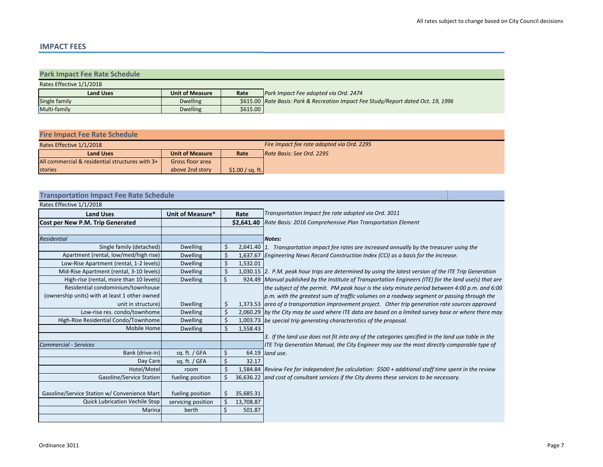### IMPACT FEES

| <b>Park Impact Fee Rate Schedule</b> |                        |          |                                                                                    |
|--------------------------------------|------------------------|----------|------------------------------------------------------------------------------------|
| Rates Effective 1/1/2018             |                        |          |                                                                                    |
| <b>Land Uses</b>                     | <b>Unit of Measure</b> | Rate     | Park Impact Fee adopted via Ord. 2474                                              |
| Single family                        | <b>Dwelling</b>        |          | \$615.00 Rate Basis: Park & Recreation Impact Fee Study/Report dated Oct. 19, 1998 |
| Multi-family                         | <b>Dwelling</b>        | \$615.00 |                                                                                    |

| <b>Fire Impact Fee Rate Schedule</b>                            |                        |                  |                                            |  |  |  |  |  |  |
|-----------------------------------------------------------------|------------------------|------------------|--------------------------------------------|--|--|--|--|--|--|
| Rates Effective 1/1/2018                                        |                        |                  | Fire Impact fee rate adopted via Ord. 2295 |  |  |  |  |  |  |
| <b>Land Uses</b>                                                | <b>Unit of Measure</b> | Rate             | Rate Basis: See Ord. 2295                  |  |  |  |  |  |  |
| $\vert$ All commercial & residential structures with 3+ $\vert$ | Gross floor area       |                  |                                            |  |  |  |  |  |  |
| stories                                                         | above 2nd story        | \$1.00 / sq. ft. |                                            |  |  |  |  |  |  |

# Transportation Impact Fee Rate Schedule

| Rates Effective 1/1/2018                      |                    |            |           |                                                                                                          |  |  |  |  |  |
|-----------------------------------------------|--------------------|------------|-----------|----------------------------------------------------------------------------------------------------------|--|--|--|--|--|
| <b>Land Uses</b>                              | Unit of Measure*   |            | Rate      | Transportation Impact fee rate adopted via Ord. 3011                                                     |  |  |  |  |  |
| Cost per New P.M. Trip Generated              |                    | \$2.641.40 |           | Rate Basis: 2016 Comprehensive Plan Transportation Element                                               |  |  |  |  |  |
|                                               |                    |            |           |                                                                                                          |  |  |  |  |  |
| <b>Residential</b>                            |                    |            |           | <b>Notes:</b>                                                                                            |  |  |  |  |  |
| Single family (detached)                      | <b>Dwelling</b>    | \$         |           | 2,641.40 1. Transportation impact fee rates are increased annually by the treasurer using the            |  |  |  |  |  |
| Apartment (rental, low/med/high rise)         | <b>Dwelling</b>    | \$         | 1,637.67  | Engineering News Record Construction Index (CCI) as a basis for the increase.                            |  |  |  |  |  |
| Low-Rise Apartment (rental, 1-2 levels)       | <b>Dwelling</b>    | \$         | 1,532.01  |                                                                                                          |  |  |  |  |  |
| Mid-Rise Apartment (rental, 3-10 levels)      | <b>Dwelling</b>    | \$         |           | 1,030.15 2. P.M. peak hour trips are determined by using the latest version of the ITE Trip Generation   |  |  |  |  |  |
| High-rise (rental, more than 10 levels)       | <b>Dwelling</b>    | \$         |           | 924.49  Manual published by the Institute of Transportation Engineers (ITE) for the land use(s) that are |  |  |  |  |  |
| Residential condominium/townhouse             |                    |            |           | the subject of the permit. PM peak hour is the sixty minute period between 4:00 p.m. and 6:00            |  |  |  |  |  |
| (ownership units) with at least 1 other owned |                    |            |           | p.m. with the greatest sum of traffic volumes on a roadway segment or passing through the                |  |  |  |  |  |
| unit in structure)                            | <b>Dwelling</b>    | \$         |           | 1,373.53 area of a transportation improvement project. Other trip generation rate sources approved       |  |  |  |  |  |
| Low-rise res. condo/townhome                  | <b>Dwelling</b>    | \$         |           | 2,060.29 by the City may be used where ITE data are based on a limited survey base or where there may    |  |  |  |  |  |
| High-Rise Residential Condo/Townhome          | <b>Dwelling</b>    | $\zeta$    |           | 1,003.73 be special trip generating characteristics of the proposal.                                     |  |  |  |  |  |
| Mobile Home                                   | <b>Dwelling</b>    | \$         | 1,558.43  |                                                                                                          |  |  |  |  |  |
|                                               |                    |            |           | 3. If the land use does not fit into any of the categories specified in the land use table in the        |  |  |  |  |  |
| <b>Commercial - Services</b>                  |                    |            |           | ITE Trip Generation Manual, the City Engineer may use the most directly comparable type of               |  |  |  |  |  |
| Bank (drive-in)                               | sq. ft. / GFA      | \$         |           | 64.19 land use.                                                                                          |  |  |  |  |  |
| Day Care                                      | sq. ft. / GFA      | \$         | 32.17     |                                                                                                          |  |  |  |  |  |
| Hotel/Motel                                   | room               | \$         | 1,584.84  | Review Fee for independent fee calculation: \$500 + additional staff time spent in the review            |  |  |  |  |  |
| Gasoline/Service Station                      | fueling position   | Ś          |           | 36,636.22 and cost of conultant services if the City deems these services to be necessary.               |  |  |  |  |  |
|                                               |                    |            |           |                                                                                                          |  |  |  |  |  |
| Gasoline/Service Station w/ Convenience Mart  | fueling position   | \$,        | 35,685.31 |                                                                                                          |  |  |  |  |  |
| <b>Quick Lubrication Vechile Stop</b>         | servicing position | \$         | 13,708.87 |                                                                                                          |  |  |  |  |  |
| Marina                                        | berth              | Ś.         | 501.87    |                                                                                                          |  |  |  |  |  |
|                                               |                    |            |           |                                                                                                          |  |  |  |  |  |